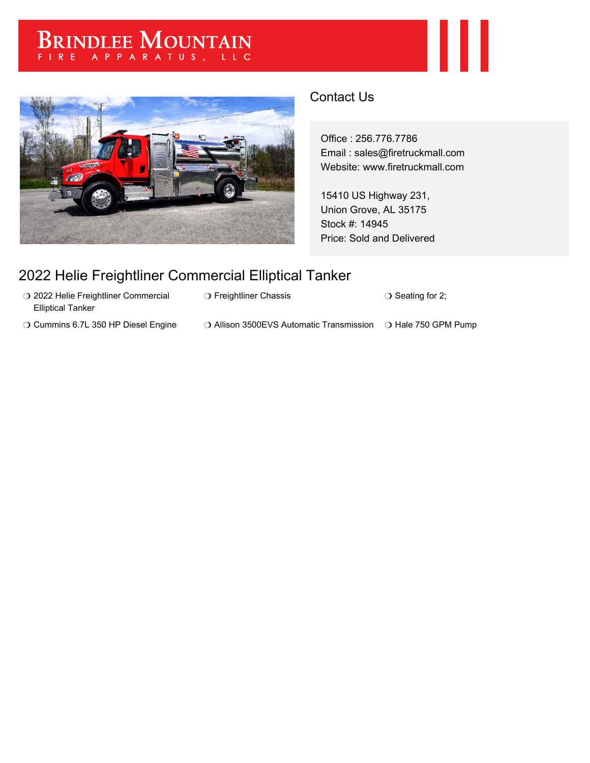# BRINDLEE MOUNTAIN



# Contact Us

Office : 256.776.7786 Email : sales@firetruckmall.com Website: www.firetruckmall.com

15410 US Highway 231, Union Grove, AL 35175 Stock #: 14945 Price: Sold and Delivered

# 2022 Helie Freightliner Commercial Elliptical Tanker

- O 2022 Helie Freightliner Commercial Elliptical Tanker
- ❍ Cummins 6.7L 350 HP Diesel Engine ❍ Allison 3500EVS Automatic Transmission ❍ Hale 750 GPM Pump

❍ Freightliner Chassis ❍ Seating for 2;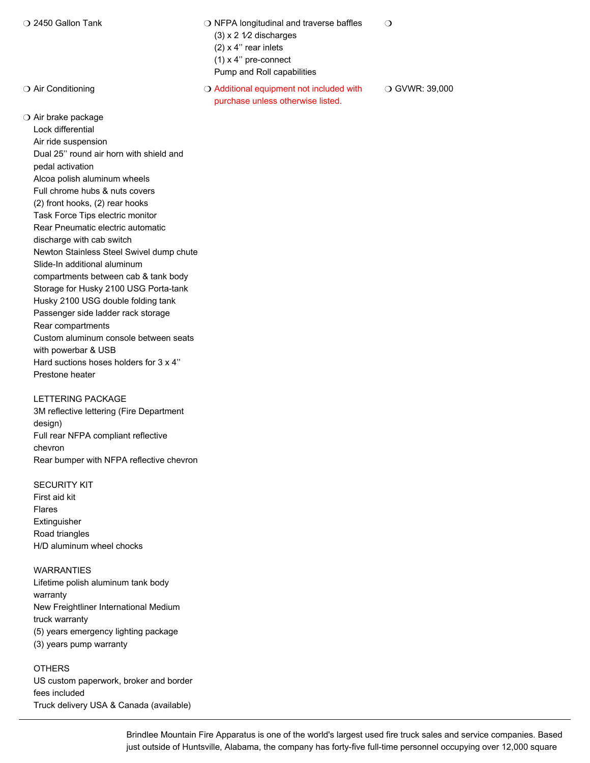❍ Air brake package

Lock differential Air ride suspension Dual 25'' round air horn with shield and pedal activation Alcoa polish aluminum wheels Full chrome hubs & nuts covers (2) front hooks, (2) rear hooks Task Force Tips electric monitor Rear Pneumatic electric automatic discharge with cab switch Newton Stainless Steel Swivel dump chute Slide-In additional aluminum compartments between cab & tank body Storage for Husky 2100 USG Porta-tank Husky 2100 USG double folding tank Passenger side ladder rack storage Rear compartments Custom aluminum console between seats with powerbar & USB Hard suctions hoses holders for 3 x 4'' Prestone heater

## LETTERING PACKAGE

3M reflective lettering (Fire Department design) Full rear NFPA compliant reflective chevron Rear bumper with NFPA reflective chevron

### SECURITY KIT

First aid kit Flares Extinguisher Road triangles H/D aluminum wheel chocks

### WARRANTIES

Lifetime polish aluminum tank body warranty New Freightliner International Medium truck warranty (5) years emergency lighting package (3) years pump warranty

**OTHERS** US custom paperwork, broker and border fees included Truck delivery USA & Canada (available)

❍ 2450 Gallon Tank ❍ NFPA longitudinal and traverse baffles  $(3)$  x 2  $1/2$  discharges (2) x 4'' rear inlets (1) x 4'' pre-connect  $\Omega$ 

Pump and Roll capabilities

◯ Air Conditioning  $\bigcirc$  Additional equipment not included with purchase unless otherwise listed. ❍ GVWR: 39,000

> Brindlee Mountain Fire Apparatus is one of the world's largest used fire truck sales and service companies. Based just outside of Huntsville, Alabama, the company has forty-five full-time personnel occupying over 12,000 square